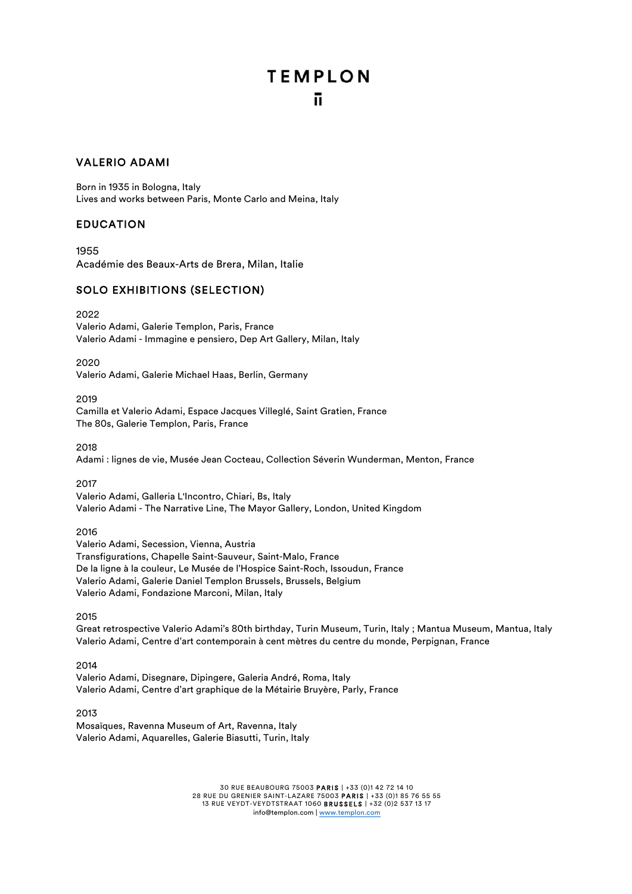### VALERIO ADAMI

Born in 1935 in Bologna, Italy Lives and works between Paris, Monte Carlo and Meina, Italy

### EDUCATION

1955 Académie des Beaux-Arts de Brera, Milan, Italie

### SOLO EXHIBITIONS (SELECTION)

2022

Valerio Adami, Galerie Templon, Paris, France Valerio Adami - Immagine e pensiero, Dep Art Gallery, Milan, Italy

2020

Valerio Adami, Galerie Michael Haas, Berlin, Germany

2019

Camilla et Valerio Adami, Espace Jacques Villeglé, Saint Gratien, France The 80s, Galerie Templon, Paris, France

2018

Adami : lignes de vie, Musée Jean Cocteau, Collection Séverin Wunderman, Menton, France

2017

Valerio Adami, Galleria L'Incontro, Chiari, Bs, Italy Valerio Adami - The Narrative Line, The Mayor Gallery, London, United Kingdom

2016

Valerio Adami, Secession, Vienna, Austria Transfigurations, Chapelle Saint-Sauveur, Saint-Malo, France De la ligne à la couleur, Le Musée de l'Hospice Saint-Roch, Issoudun, France Valerio Adami, Galerie Daniel Templon Brussels, Brussels, Belgium Valerio Adami, Fondazione Marconi, Milan, Italy

2015

Great retrospective Valerio Adami's 80th birthday, Turin Museum, Turin, Italy ; Mantua Museum, Mantua, Italy Valerio Adami, Centre d'art contemporain à cent mètres du centre du monde, Perpignan, France

2014

Valerio Adami, Disegnare, Dipingere, Galeria André, Roma, Italy Valerio Adami, Centre d'art graphique de la Métairie Bruyère, Parly, France

2013 Mosaïques, Ravenna Museum of Art, Ravenna, Italy Valerio Adami, Aquarelles, Galerie Biasutti, Turin, Italy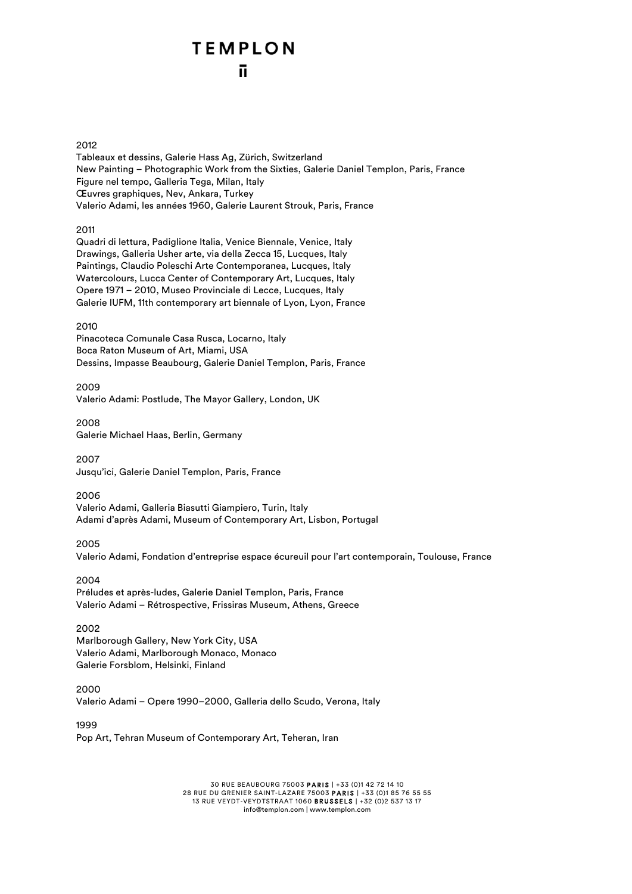#### 2012

Tableaux et dessins, Galerie Hass Ag, Zürich, Switzerland New Painting – Photographic Work from the Sixties, Galerie Daniel Templon, Paris, France Figure nel tempo, Galleria Tega, Milan, Italy Œuvres graphiques, Nev, Ankara, Turkey Valerio Adami, les années 1960, Galerie Laurent Strouk, Paris, France

2011

Quadri di lettura, Padiglione Italia, Venice Biennale, Venice, Italy Drawings, Galleria Usher arte, via della Zecca 15, Lucques, Italy Paintings, Claudio Poleschi Arte Contemporanea, Lucques, Italy Watercolours, Lucca Center of Contemporary Art, Lucques, Italy Opere 1971 – 2010, Museo Provinciale di Lecce, Lucques, Italy Galerie IUFM, 11th contemporary art biennale of Lyon, Lyon, France

#### 2010

Pinacoteca Comunale Casa Rusca, Locarno, Italy Boca Raton Museum of Art, Miami, USA Dessins, Impasse Beaubourg, Galerie Daniel Templon, Paris, France

2009 Valerio Adami: Postlude, The Mayor Gallery, London, UK

2008 Galerie Michael Haas, Berlin, Germany

2007 Jusqu'ici, Galerie Daniel Templon, Paris, France

2006 Valerio Adami, Galleria Biasutti Giampiero, Turin, Italy Adami d'après Adami, Museum of Contemporary Art, Lisbon, Portugal

2005

Valerio Adami, Fondation d'entreprise espace écureuil pour l'art contemporain, Toulouse, France

2004 Préludes et après-ludes, Galerie Daniel Templon, Paris, France Valerio Adami – Rétrospective, Frissiras Museum, Athens, Greece

#### 2002

Marlborough Gallery, New York City, USA Valerio Adami, Marlborough Monaco, Monaco Galerie Forsblom, Helsinki, Finland

2000

Valerio Adami – Opere 1990–2000, Galleria dello Scudo, Verona, Italy

1999

Pop Art, Tehran Museum of Contemporary Art, Teheran, Iran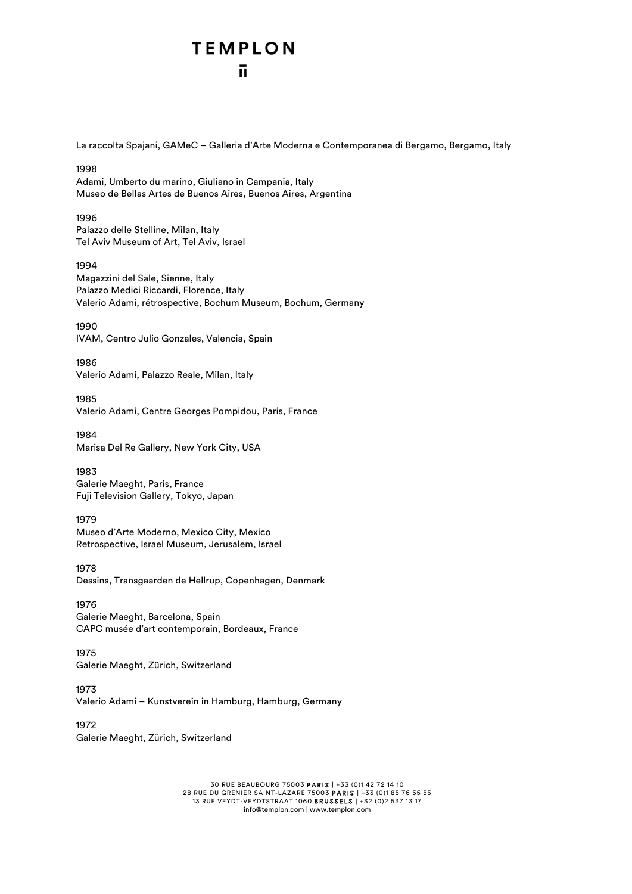La raccolta Spajani, GAMeC – Galleria d'Arte Moderna e Contemporanea di Bergamo, Bergamo, Italy

1998 Adami, Umberto du marino, Giuliano in Campania, Italy Museo de Bellas Artes de Buenos Aires, Buenos Aires, Argentina

1996 Palazzo delle Stelline, Milan, Italy Tel Aviv Museum of Art, Tel Aviv, Israel

1994 Magazzini del Sale, Sienne, Italy Palazzo Medici Riccardi, Florence, Italy Valerio Adami, rétrospective, Bochum Museum, Bochum, Germany

1990 IVAM, Centro Julio Gonzales, Valencia, Spain

1986 Valerio Adami, Palazzo Reale, Milan, Italy

1985 Valerio Adami, Centre Georges Pompidou, Paris, France

1984 Marisa Del Re Gallery, New York City, USA

1983 Galerie Maeght, Paris, France Fuji Television Gallery, Tokyo, Japan

1979 Museo d'Arte Moderno, Mexico City, Mexico Retrospective, Israel Museum, Jerusalem, Israel

1978 Dessins, Transgaarden de Hellrup, Copenhagen, Denmark

1976 Galerie Maeght, Barcelona, Spain CAPC musée d'art contemporain, Bordeaux, France

1975 Galerie Maeght, Zürich, Switzerland

1973 Valerio Adami – Kunstverein in Hamburg, Hamburg, Germany

1972 Galerie Maeght, Zürich, Switzerland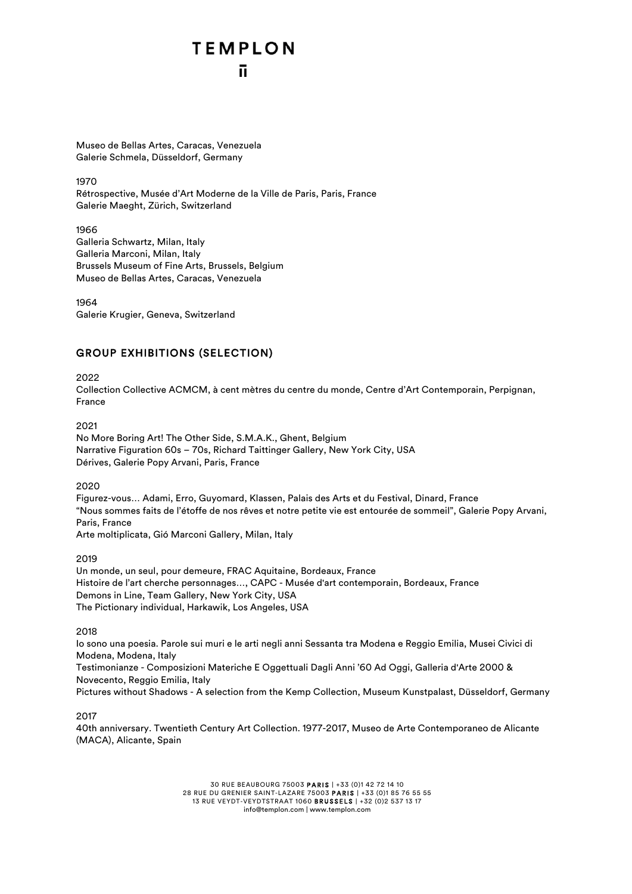Museo de Bellas Artes, Caracas, Venezuela Galerie Schmela, Düsseldorf, Germany

1970

Rétrospective, Musée d'Art Moderne de la Ville de Paris, Paris, France Galerie Maeght, Zürich, Switzerland

1966 Galleria Schwartz, Milan, Italy Galleria Marconi, Milan, Italy Brussels Museum of Fine Arts, Brussels, Belgium Museo de Bellas Artes, Caracas, Venezuela

1964 Galerie Krugier, Geneva, Switzerland

### GROUP EXHIBITIONS (SELECTION)

2022

Collection Collective ACMCM, à cent mètres du centre du monde, Centre d'Art Contemporain, Perpignan, France

2021

No More Boring Art! The Other Side, S.M.A.K., Ghent, Belgium Narrative Figuration 60s – 70s, Richard Taittinger Gallery, New York City, USA Dérives, Galerie Popy Arvani, Paris, France

2020

Figurez-vous… Adami, Erro, Guyomard, Klassen, Palais des Arts et du Festival, Dinard, France "Nous sommes faits de l'étoffe de nos rêves et notre petite vie est entourée de sommeil", Galerie Popy Arvani, Paris, France

Arte moltiplicata, Gió Marconi Gallery, Milan, Italy

2019

Un monde, un seul, pour demeure, FRAC Aquitaine, Bordeaux, France Histoire de l'art cherche personnages…, CAPC - Musée d'art contemporain, Bordeaux, France Demons in Line, Team Gallery, New York City, USA The Pictionary individual, Harkawik, Los Angeles, USA

2018

Io sono una poesia. Parole sui muri e le arti negli anni Sessanta tra Modena e Reggio Emilia, Musei Civici di Modena, Modena, Italy Testimonianze - Composizioni Materiche E Oggettuali Dagli Anni '60 Ad Oggi, Galleria d'Arte 2000 & Novecento, Reggio Emilia, Italy Pictures without Shadows - A selection from the Kemp Collection, Museum Kunstpalast, Düsseldorf, Germany

2017

40th anniversary. Twentieth Century Art Collection. 1977-2017, Museo de Arte Contemporaneo de Alicante (MACA), Alicante, Spain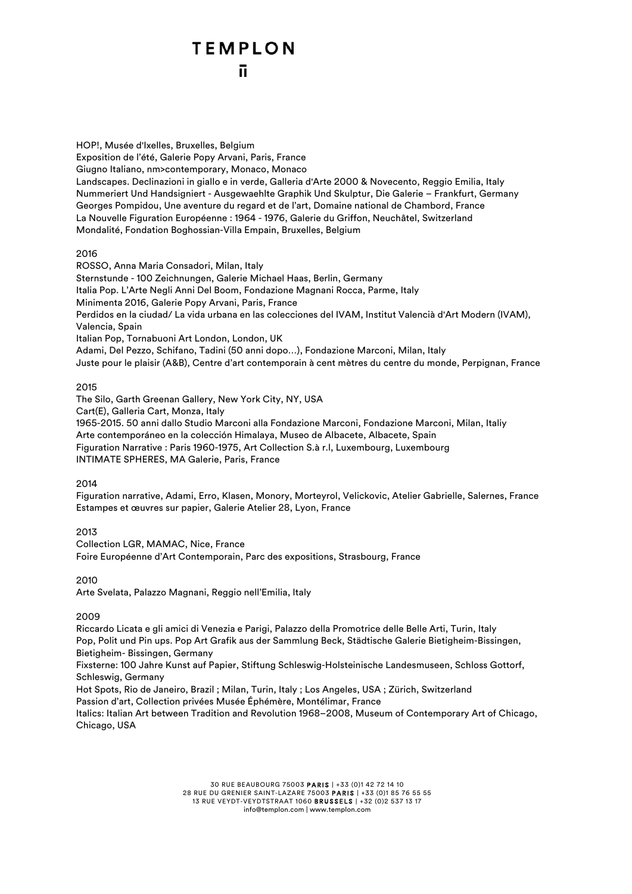HOP!, Musée d'Ixelles, Bruxelles, Belgium Exposition de l'été, Galerie Popy Arvani, Paris, France Giugno Italiano, nm>contemporary, Monaco, Monaco Landscapes. Declinazioni in giallo e in verde, Galleria d'Arte 2000 & Novecento, Reggio Emilia, Italy Nummeriert Und Handsigniert - Ausgewaehlte Graphik Und Skulptur, Die Galerie – Frankfurt, Germany Georges Pompidou, Une aventure du regard et de l'art, Domaine national de Chambord, France La Nouvelle Figuration Européenne : 1964 - 1976, Galerie du Griffon, Neuchâtel, Switzerland Mondalité, Fondation Boghossian-Villa Empain, Bruxelles, Belgium

#### 2016

ROSSO, Anna Maria Consadori, Milan, Italy Sternstunde - 100 Zeichnungen, Galerie Michael Haas, Berlin, Germany Italia Pop. L'Arte Negli Anni Del Boom, Fondazione Magnani Rocca, Parme, Italy Minimenta 2016, Galerie Popy Arvani, Paris, France Perdidos en la ciudad/ La vida urbana en las colecciones del IVAM, Institut Valencià d'Art Modern (IVAM), Valencia, Spain Italian Pop, Tornabuoni Art London, London, UK Adami, Del Pezzo, Schifano, Tadini (50 anni dopo…), Fondazione Marconi, Milan, Italy Juste pour le plaisir (A&B), Centre d'art contemporain à cent mètres du centre du monde, Perpignan, France

#### 2015

The Silo, Garth Greenan Gallery, New York City, NY, USA Cart(E), Galleria Cart, Monza, Italy 1965-2015. 50 anni dallo Studio Marconi alla Fondazione Marconi, Fondazione Marconi, Milan, Italiy Arte contemporáneo en la colección Himalaya, Museo de Albacete, Albacete, Spain Figuration Narrative : Paris 1960-1975, Art Collection S.à r.l, Luxembourg, Luxembourg INTIMATE SPHERES, MA Galerie, Paris, France

#### 2014

Figuration narrative, Adami, Erro, Klasen, Monory, Morteyrol, Velickovic, Atelier Gabrielle, Salernes, France Estampes et œuvres sur papier, Galerie Atelier 28, Lyon, France

2013

Collection LGR, MAMAC, Nice, France Foire Européenne d'Art Contemporain, Parc des expositions, Strasbourg, France

2010

Arte Svelata, Palazzo Magnani, Reggio nell'Emilia, Italy

2009

Riccardo Licata e gli amici di Venezia e Parigi, Palazzo della Promotrice delle Belle Arti, Turin, Italy Pop, Polit und Pin ups. Pop Art Grafik aus der Sammlung Beck, Städtische Galerie Bietigheim-Bissingen, Bietigheim- Bissingen, Germany

Fixsterne: 100 Jahre Kunst auf Papier, Stiftung Schleswig-Holsteinische Landesmuseen, Schloss Gottorf, Schleswig, Germany

Hot Spots, Rio de Janeiro, Brazil ; Milan, Turin, Italy ; Los Angeles, USA ; Zürich, Switzerland

Passion d'art, Collection privées Musée Éphémère, Montélimar, France

Italics: Italian Art between Tradition and Revolution 1968–2008, Museum of Contemporary Art of Chicago, Chicago, USA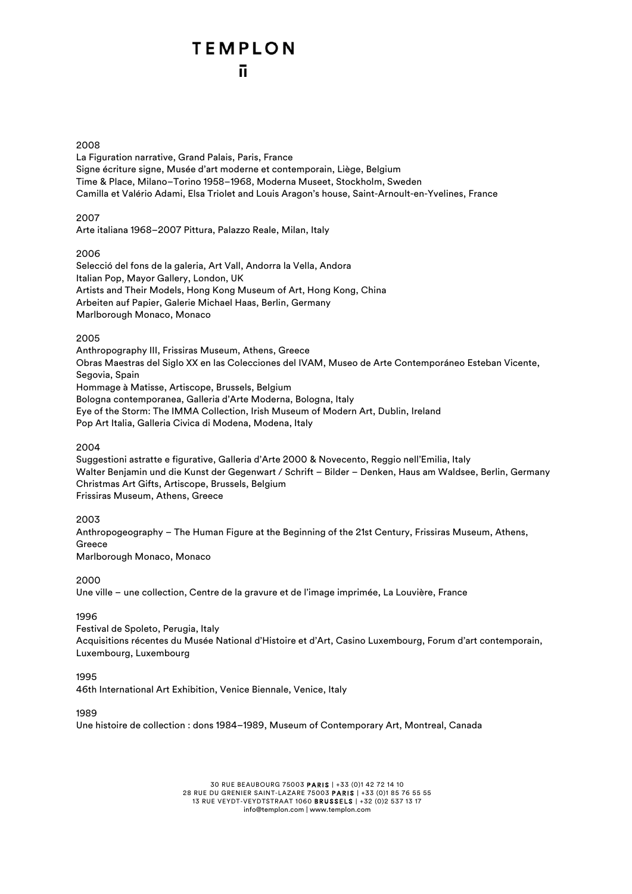#### 2008

La Figuration narrative, Grand Palais, Paris, France Signe écriture signe, Musée d'art moderne et contemporain, Liège, Belgium Time & Place, Milano–Torino 1958–1968, Moderna Museet, Stockholm, Sweden Camilla et Valério Adami, Elsa Triolet and Louis Aragon's house, Saint-Arnoult-en-Yvelines, France

#### 2007

Arte italiana 1968–2007 Pittura, Palazzo Reale, Milan, Italy

#### 2006

Selecció del fons de la galeria, Art Vall, Andorra la Vella, Andora Italian Pop, Mayor Gallery, London, UK Artists and Their Models, Hong Kong Museum of Art, Hong Kong, China Arbeiten auf Papier, Galerie Michael Haas, Berlin, Germany Marlborough Monaco, Monaco

#### 2005

Anthropography III, Frissiras Museum, Athens, Greece Obras Maestras del Siglo XX en las Colecciones del IVAM, Museo de Arte Contemporáneo Esteban Vicente, Segovia, Spain Hommage à Matisse, Artiscope, Brussels, Belgium Bologna contemporanea, Galleria d'Arte Moderna, Bologna, Italy Eye of the Storm: The IMMA Collection, Irish Museum of Modern Art, Dublin, Ireland Pop Art Italia, Galleria Civica di Modena, Modena, Italy

#### 2004

Suggestioni astratte e figurative, Galleria d'Arte 2000 & Novecento, Reggio nell'Emilia, Italy Walter Benjamin und die Kunst der Gegenwart / Schrift – Bilder – Denken, Haus am Waldsee, Berlin, Germany Christmas Art Gifts, Artiscope, Brussels, Belgium Frissiras Museum, Athens, Greece

#### 2003

Anthropogeography – The Human Figure at the Beginning of the 21st Century, Frissiras Museum, Athens, Greece Marlborough Monaco, Monaco

#### 2000

Une ville – une collection, Centre de la gravure et de l'image imprimée, La Louvière, France

#### 1996

Festival de Spoleto, Perugia, Italy Acquisitions récentes du Musée National d'Histoire et d'Art, Casino Luxembourg, Forum d'art contemporain, Luxembourg, Luxembourg

#### 1995

46th International Art Exhibition, Venice Biennale, Venice, Italy

#### 1989

Une histoire de collection : dons 1984–1989, Museum of Contemporary Art, Montreal, Canada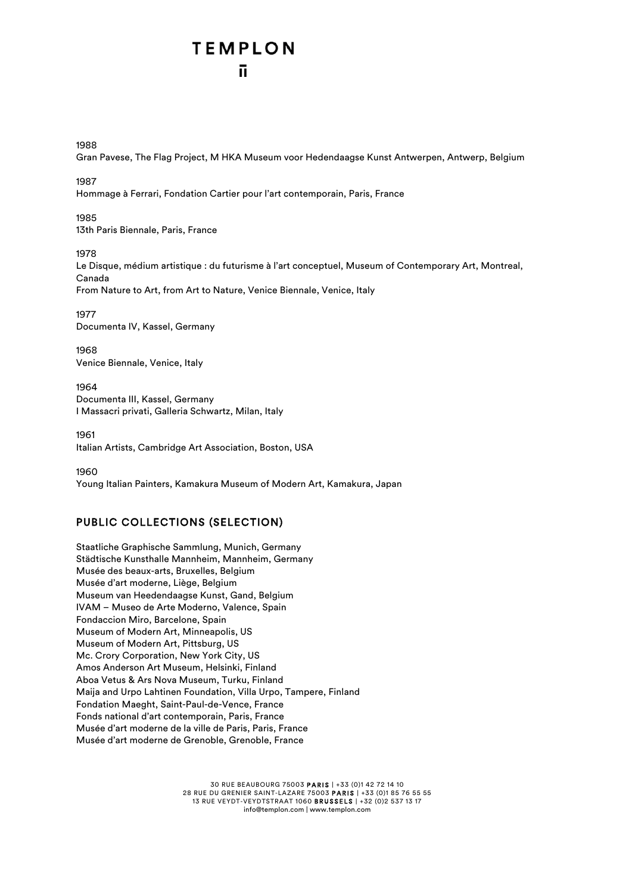#### 1988

Gran Pavese, The Flag Project, M HKA Museum voor Hedendaagse Kunst Antwerpen, Antwerp, Belgium

#### 1987

Hommage à Ferrari, Fondation Cartier pour l'art contemporain, Paris, France

#### 1985

13th Paris Biennale, Paris, France

#### 1078

Le Disque, médium artistique : du futurisme à l'art conceptuel, Museum of Contemporary Art, Montreal, Canada From Nature to Art, from Art to Nature, Venice Biennale, Venice, Italy

1977 Documenta IV, Kassel, Germany

1968 Venice Biennale, Venice, Italy

1964 Documenta III, Kassel, Germany I Massacri privati, Galleria Schwartz, Milan, Italy

1961 Italian Artists, Cambridge Art Association, Boston, USA

1960 Young Italian Painters, Kamakura Museum of Modern Art, Kamakura, Japan

### PUBLIC COLLECTIONS (SELECTION)

Staatliche Graphische Sammlung, Munich, Germany Städtische Kunsthalle Mannheim, Mannheim, Germany Musée des beaux-arts, Bruxelles, Belgium Musée d'art moderne, Liège, Belgium Museum van Heedendaagse Kunst, Gand, Belgium IVAM – Museo de Arte Moderno, Valence, Spain Fondaccion Miro, Barcelone, Spain Museum of Modern Art, Minneapolis, US Museum of Modern Art, Pittsburg, US Mc. Crory Corporation, New York City, US Amos Anderson Art Museum, Helsinki, Finland Aboa Vetus & Ars Nova Museum, Turku, Finland Maija and Urpo Lahtinen Foundation, Villa Urpo, Tampere, Finland Fondation Maeght, Saint-Paul-de-Vence, France Fonds national d'art contemporain, Paris, France Musée d'art moderne de la ville de Paris, Paris, France Musée d'art moderne de Grenoble, Grenoble, France